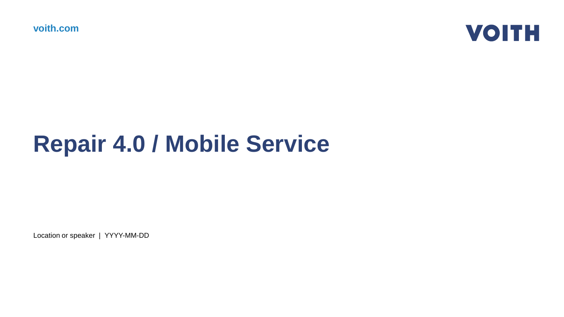**voith.com**



## **Repair 4.0 / Mobile Service**

Location or speaker | YYYY-MM-DD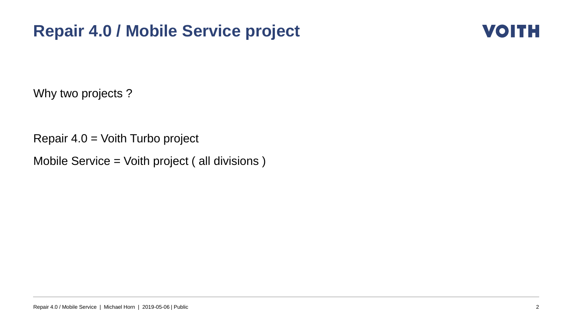#### **Repair 4.0 / Mobile Service project**



Why two projects ?

Repair 4.0 = Voith Turbo project

Mobile Service = Voith project ( all divisions )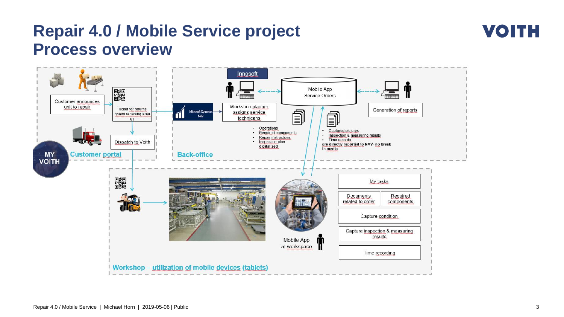#### **Repair 4.0 / Mobile Service project Process overview**

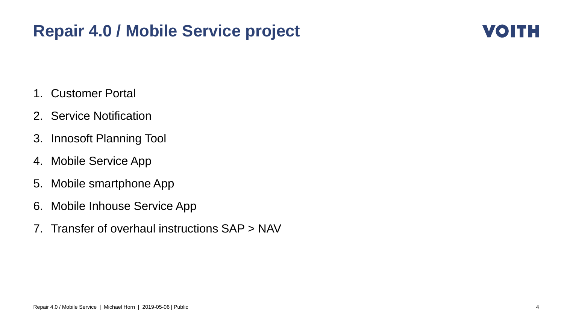#### **Repair 4.0 / Mobile Service project**



- 1. Customer Portal
- 2. Service Notification
- 3. Innosoft Planning Tool
- 4. Mobile Service App
- 5. Mobile smartphone App
- 6. Mobile Inhouse Service App
- 7. Transfer of overhaul instructions SAP > NAV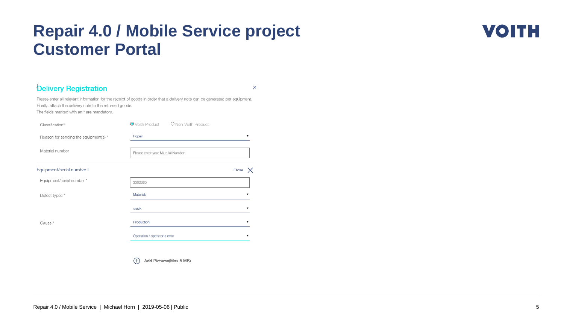#### **Repair 4.0 / Mobile Service project Customer Portal**

#### **Delivery Registration**

 $\mathsf{\times}$ 

Please enter all relevant information for the receipt of goods in order that a delivery note can be generated per equipment. Finally, attach the delivery note to the returned goods. The fields marked with an \* are mandatory.

| Classification*                       | ● Voith Product<br>O Non-Voith Product |                          |
|---------------------------------------|----------------------------------------|--------------------------|
| Reason for sending the equipment(s) * | Repair                                 | $\blacksquare$           |
| Material number                       | Please enter your Material Number      |                          |
| Equipment/serial number I             |                                        | Close                    |
| Equipment/serial number *             | 3302060                                |                          |
| Defect types *                        | Material:                              | $\overline{\phantom{a}}$ |
|                                       | crack                                  | ▼                        |
| Cause*                                | Production:                            | $\overline{\mathbf{v}}$  |
|                                       | Operation / operator's error           |                          |
|                                       |                                        |                          |

 $\bigoplus$ Add Pictures(Max 5 MB) **VOITH**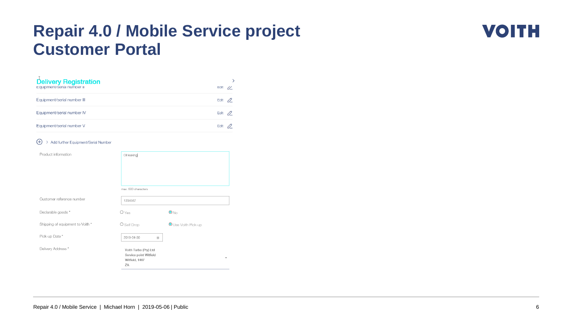#### **Repair 4.0 / Mobile Service project Customer Portal**



#### $\bigoplus$  > Add further Equipment/Serial Number

| Product information              | Oil leaking                                                             |                     |
|----------------------------------|-------------------------------------------------------------------------|---------------------|
|                                  |                                                                         |                     |
|                                  |                                                                         |                     |
|                                  | max. 500 characters                                                     |                     |
| Customer reference number        | 1234567                                                                 |                     |
| Declarable goods *               | O Yes                                                                   | $\bullet$ No        |
| Shipping of equipment to Voith * | O Self Drop                                                             | O Use Voith Pick-up |
| Pick-up Date *                   | 2019-04-30<br>茴                                                         |                     |
| Delivery Address*                | Voith Turbo (Pty) Ltd<br>Service point Witfield<br>Witfield, 1467<br>ZA | $\blacktriangle$    |

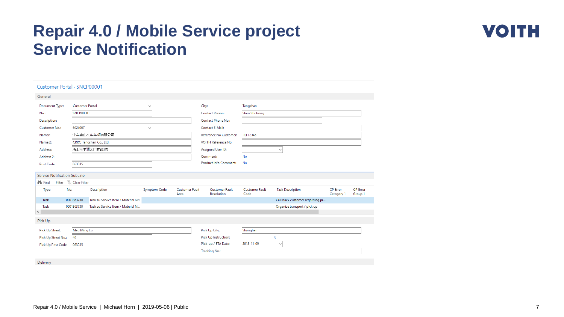#### **Repair 4.0 / Mobile Service project Service Notification**



| Customer Portal · SNCP00001  |                                           |                                      |                     |                               |                                     |                               |                                 |                               |                            |
|------------------------------|-------------------------------------------|--------------------------------------|---------------------|-------------------------------|-------------------------------------|-------------------------------|---------------------------------|-------------------------------|----------------------------|
| General                      |                                           |                                      |                     |                               |                                     |                               |                                 |                               |                            |
| Document Type:               | <b>Customer Portal</b>                    |                                      | $\checkmark$        |                               | City:                               | Tangshan                      |                                 |                               |                            |
| No.:                         | SNCP00001                                 |                                      |                     |                               | <b>Contact Person:</b>              | Shen Shuhong                  |                                 |                               |                            |
| Description:                 |                                           |                                      |                     |                               | <b>Contact Phone No.:</b>           |                               |                                 |                               |                            |
| Customer No.:                | 6024067                                   |                                      |                     |                               | <b>Contact E-Mail:</b>              |                               |                                 |                               |                            |
| Namer:                       |                                           | 中车唐山机车车辆有限公司                         |                     |                               | Reference No Customer:              | <b>REF12345</b>               |                                 |                               |                            |
| Name 2:                      |                                           | CRRC Tangshan Co., Ltd.              |                     |                               | <b>VOITH Reference No:</b>          |                               |                                 |                               |                            |
| Address:                     |                                           | 唐山市丰润区厂前路3号                          |                     |                               | Assigned User ID:                   |                               | $\checkmark$                    |                               |                            |
| Address 2:                   |                                           |                                      |                     |                               | Comment:                            | No                            |                                 |                               |                            |
| Post Code:                   | 063035                                    |                                      |                     |                               | Product Info Comment:               | No                            |                                 |                               |                            |
| Service Notification SubLine |                                           |                                      |                     |                               |                                     |                               |                                 |                               |                            |
| <b>A</b> <sup>6</sup> Find   | Filter <b>K</b> <sub>X</sub> Clear Filter |                                      |                     |                               |                                     |                               |                                 |                               |                            |
| Type                         | No.                                       | Description                          | <b>Symptom Code</b> | <b>Customer Fault</b><br>Area | <b>Customer Fault</b><br>Resolution | <b>Customer Fault</b><br>Code | <b>Task Description</b>         | <b>CP</b> Error<br>Category 1 | <b>CP</b> Error<br>Group 1 |
| Task                         | 0001863730                                | Task zu Service Item / Material Nr.: |                     |                               |                                     |                               | Call back customer regarding pi |                               |                            |
| Task                         | 0001863730                                | Task zu Service Item / Material N    |                     |                               |                                     |                               | Organize transport / pick up    |                               |                            |
| $\leq$                       |                                           |                                      |                     |                               |                                     |                               |                                 |                               |                            |
| Pick Up                      |                                           |                                      |                     |                               |                                     |                               |                                 |                               |                            |
| Pick Up Streat:              | Mao Ming Lu                               |                                      |                     |                               | Pick Up City:                       | Shanghai                      |                                 |                               |                            |
| Pick Up Streat No.:          | 40                                        |                                      |                     |                               | Pick Up Instruction:                |                               | $\bf{0}$                        |                               |                            |
| Pick Up Post Code:           | 063035                                    |                                      |                     |                               | Pick-up / ETA Date:                 | 2018-11-09                    | $\checkmark$                    |                               |                            |
|                              |                                           |                                      |                     |                               | <b>Tracking No.:</b>                |                               |                                 |                               |                            |
| Delivery                     |                                           |                                      |                     |                               |                                     |                               |                                 |                               |                            |
|                              |                                           |                                      |                     |                               |                                     |                               |                                 |                               |                            |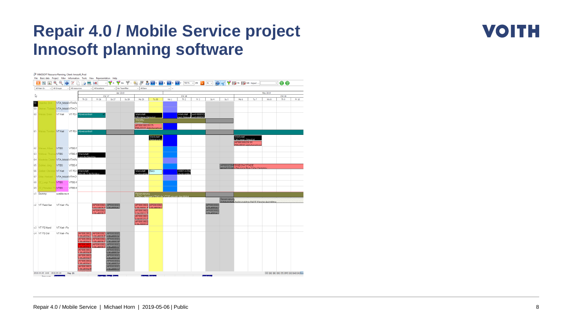#### **Repair 4.0 / Mobile Service project Innosoft planning software**



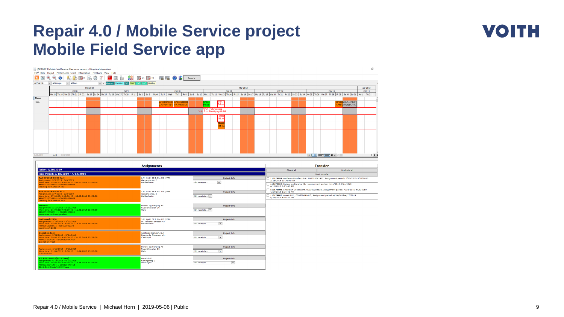#### **Repair 4.0 / Mobile Service project Mobile Field Service app**

|                                         |        |                                                                                               |                 |                                                                                           | NNOSOFT Mobile Field Service: (Ras server version) - [Graphical disposition]<br>File <sup>o</sup> Data Project Performance record Information Feedback View Help |                   |                 |                                                                                                                                                                                                                                |                                                         |                                     |               |               |                   |                                         |          |  |                       |  |                   |                                                                           |                                                                                          | $\Box$<br>$ -$                  |
|-----------------------------------------|--------|-----------------------------------------------------------------------------------------------|-----------------|-------------------------------------------------------------------------------------------|------------------------------------------------------------------------------------------------------------------------------------------------------------------|-------------------|-----------------|--------------------------------------------------------------------------------------------------------------------------------------------------------------------------------------------------------------------------------|---------------------------------------------------------|-------------------------------------|---------------|---------------|-------------------|-----------------------------------------|----------|--|-----------------------|--|-------------------|---------------------------------------------------------------------------|------------------------------------------------------------------------------------------|---------------------------------|
|                                         |        |                                                                                               |                 |                                                                                           | Θ<br>$\overline{\omega}$                                                                                                                                         | $\alpha$ $\alpha$ |                 | 88 DB SR DB R                                                                                                                                                                                                                  |                                                         | $\mathbb{P}$ $\mathbb{P}$ $(2)$ $($ |               | Reports       |                   |                                         |          |  |                       |  |                   |                                                                           |                                                                                          |                                 |
| All Main Gr.                            | $\vee$ | All Groups                                                                                    | $\vee$ All Bars |                                                                                           |                                                                                                                                                                  |                   |                 | v < Absence Vacation Sick GLAZ VAZ LAZ Holiday                                                                                                                                                                                 |                                                         |                                     |               |               |                   |                                         |          |  |                       |  |                   |                                                                           |                                                                                          |                                 |
|                                         |        |                                                                                               |                 |                                                                                           | Feb 2019                                                                                                                                                         |                   |                 |                                                                                                                                                                                                                                |                                                         |                                     |               |               |                   |                                         | Mar 2019 |  |                       |  |                   |                                                                           |                                                                                          | Apr 2019                        |
|                                         |        |                                                                                               |                 | CW <sub>8</sub>                                                                           |                                                                                                                                                                  |                   | CW <sub>9</sub> | Mo18  Tu19  We20  Th 21  Fr 22  Sa 23  Su24  Mo25  Tu26  We27  Th 28  Fr 1  Sa 2  Su3  Mo4  Tu5  We6  Th 7  Fr 8  Sa 9  Su10  Mo11  Tu12  We13  Th 14  Fr 15  Sa 8  Su17  Mo18  Tu19  We20  Th 21  Fr 22  Sa 28  Su24  Mo25  T |                                                         |                                     | CW 10         |               |                   | <b>CW 11</b>                            |          |  | <b>CW 12</b>          |  |                   | <b>CW 13</b>                                                              |                                                                                          | <b>CW 14</b>                    |
| Name                                    |        |                                                                                               |                 |                                                                                           |                                                                                                                                                                  |                   |                 |                                                                                                                                                                                                                                |                                                         |                                     |               |               |                   |                                         |          |  |                       |  |                   |                                                                           |                                                                                          |                                 |
| Hom                                     |        |                                                                                               |                 |                                                                                           |                                                                                                                                                                  |                   |                 |                                                                                                                                                                                                                                |                                                         | M. Voith SE (                       | J.M. Voith SE |               |                   | nks                                     |          |  |                       |  |                   |                                                                           | 20041417FAB<br>s Gondan, S.A.                                                            |                                 |
|                                         |        |                                                                                               |                 |                                                                                           |                                                                                                                                                                  |                   |                 |                                                                                                                                                                                                                                |                                                         |                                     |               | Volt          | MO_TP3 Engieering | Turbo Beteiligungs GmbH                 |          |  |                       |  |                   |                                                                           |                                                                                          |                                 |
|                                         |        |                                                                                               |                 |                                                                                           |                                                                                                                                                                  |                   |                 |                                                                                                                                                                                                                                |                                                         |                                     |               |               |                   |                                         |          |  |                       |  |                   |                                                                           |                                                                                          |                                 |
| 2/18/2019                               |        | Until 7/12/2019                                                                               |                 |                                                                                           |                                                                                                                                                                  |                   |                 |                                                                                                                                                                                                                                |                                                         |                                     |               |               |                   |                                         |          |  |                       |  | $\boxed{\text{p}$ |                                                                           |                                                                                          | $>$ $\rightarrow$ $\rightarrow$ |
|                                         |        |                                                                                               |                 |                                                                                           |                                                                                                                                                                  |                   |                 |                                                                                                                                                                                                                                |                                                         |                                     |               |               |                   |                                         |          |  |                       |  |                   |                                                                           |                                                                                          |                                 |
|                                         |        |                                                                                               |                 |                                                                                           |                                                                                                                                                                  |                   |                 |                                                                                                                                                                                                                                | <b>Assignments</b>                                      |                                     |               |               |                   |                                         |          |  |                       |  | <b>Transfer</b>   |                                                                           |                                                                                          |                                 |
| Today: 4/30/2019                        |        |                                                                                               |                 |                                                                                           |                                                                                                                                                                  |                   |                 |                                                                                                                                                                                                                                |                                                         |                                     |               |               |                   |                                         |          |  | Check all             |  |                   |                                                                           | Uncheck all                                                                              |                                 |
| Test CV 2019-02-20 Nr. 3                |        |                                                                                               |                 | Time Period: 2/18/2019 - 7/12/2019                                                        |                                                                                                                                                                  |                   |                 |                                                                                                                                                                                                                                | J.M. Voith SE & Co. KG   VTA                            |                                     |               |               |                   |                                         |          |  |                       |  | Start transfer    |                                                                           |                                                                                          |                                 |
|                                         |        |                                                                                               |                 | Assignment: 3/5/2019 - 3/6/2019<br>Work time: 05.03.2019 00:00:00 - 06.03.2019 23:59:00   |                                                                                                                                                                  |                   |                 | Alexanderstr. 2<br>Heidenheim                                                                                                                                                                                                  |                                                         |                                     |               | Edit receipts |                   | Project-Info<br>$\overline{\mathbf{v}}$ |          |  | 3/28/2019 11:36:40 AM |  |                   |                                                                           | 110179999, Astilleros Gondan, S.A., 000320041417, Assignment period: 3/29/2019-3/31/2019 |                                 |
|                                         |        | AP000320038808-1-000320038808<br>Training für Kunde in HDH                                    |                 |                                                                                           |                                                                                                                                                                  |                   |                 |                                                                                                                                                                                                                                |                                                         |                                     |               |               |                   |                                         |          |  | 4/11/2019 2:29:46 PM  |  |                   | 110170005, Bukser og Berging AS, , Assignment period: 4/11/2019-4/11/2019 |                                                                                          |                                 |
| Test CV 2019-02-20 Nr. 3                |        |                                                                                               |                 |                                                                                           |                                                                                                                                                                  |                   |                 |                                                                                                                                                                                                                                | J.M. Voith SE & Co. KG   VTA                            |                                     |               |               |                   | Project-Info                            |          |  | 4/24/2019 5:16:40 PM  |  |                   |                                                                           | 110179998, Einsatzort unbekannt, 000300224133, Assignment period: 4/24/2019-4/25/2019    |                                 |
|                                         |        | P000320038808-1-000320038808<br>Training für Kunde in HDH                                     |                 | Assignment: 3/7/2019 - 3/8/2019<br>Work time: 07.03.2019 00:00:00 - 08.03.2019 23:59:00   |                                                                                                                                                                  |                   |                 | Alexanderstr. 2<br>Heidenheim                                                                                                                                                                                                  |                                                         |                                     |               |               | Edit receipts V   |                                         |          |  |                       |  |                   |                                                                           | 110179997, Amels B.V., 000320041415, Assignment period: 4/14/2019-4/17/2019              |                                 |
| <b>kurstavt</b>                         |        |                                                                                               |                 |                                                                                           |                                                                                                                                                                  |                   |                 |                                                                                                                                                                                                                                |                                                         |                                     |               |               |                   |                                         |          |  | 4/25/2019 4:18:57 PM  |  |                   |                                                                           |                                                                                          |                                 |
|                                         |        | ssignment: 3/11/2019 - 3/11/2019<br>000320038811-1-000320038811<br>ontieren und fertigstellen |                 | /ork time: 11.03.2019 00:00:00 - 11.03.2019 23:59:00                                      |                                                                                                                                                                  |                   |                 | Oslo                                                                                                                                                                                                                           | <b>Bukser og Berging AS</b><br>Ruselökkveien 26         |                                     |               |               | Edit receipts     | Project-Info                            |          |  |                       |  |                   |                                                                           |                                                                                          |                                 |
| test innsoft 2050.<br>test innsoft 2050 |        | Assignment: 3/13/2019 - 3/13/2019<br>PP000160002772 -- 000160002772                           |                 | Work time: 13.03.2019 13:00:00 - 13.03.2019 14:59:00                                      |                                                                                                                                                                  |                   |                 | Heidenheim                                                                                                                                                                                                                     | J.M. Voith SE & Co. KG   VPH<br>St. Pöltener Strasse 43 |                                     |               | Edit receipts |                   | Project-Info<br>$\overline{\mathbf{v}}$ |          |  |                       |  |                   |                                                                           |                                                                                          |                                 |
| Das ist ein Test<br>Das ist ein Test    |        | Assignment: 3/29/2019 - 3/31/2019                                                             |                 | Work time: 29.03.2019 00:00:00 - 31.03.2019 23:59:00<br>AP000320041417-2-000320041417     |                                                                                                                                                                  |                   |                 | Castropol                                                                                                                                                                                                                      | Astilleros Gondan, S.A.<br>Puerto de Figueras, s/n      |                                     |               | Edit receipts |                   | Project-Info<br>$\overline{\mathbf{v}}$ |          |  |                       |  |                   |                                                                           |                                                                                          |                                 |
| 10170015                                |        |                                                                                               |                 | Assignment: 4/11/2019 - 4/11/2019<br>Work time: 11.04.2019 13:00:00 - 11.04.2019 15:59:00 |                                                                                                                                                                  |                   |                 | Ruselökkveien 26<br>Oslo                                                                                                                                                                                                       | <b>Bukser og Berging AS</b>                             |                                     |               | Edit receipts |                   | Project-Info<br>▽                       |          |  |                       |  |                   |                                                                           |                                                                                          |                                 |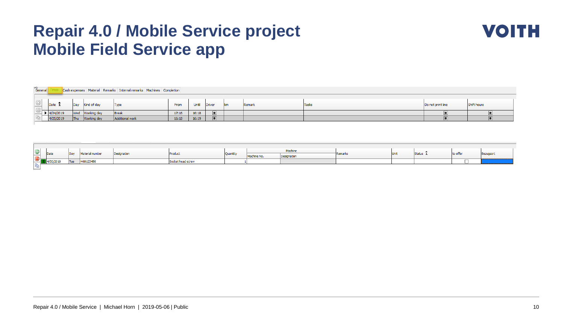#### **Repair 4.0 / Mobile Service project Mobile Field Service app**



| General |           |                     |             | Cash expenses   Material   Remarks   Internal remarks   Machines   Completion |       |       |                      |      |        |       |                   |             |
|---------|-----------|---------------------|-------------|-------------------------------------------------------------------------------|-------|-------|----------------------|------|--------|-------|-------------------|-------------|
|         |           |                     |             |                                                                               |       |       |                      |      |        |       |                   |             |
| $\geq$  | Date      | Dav                 | Kind of day | Type                                                                          | From  | Until | Driver               | lkm. | Remark | Tasks | Do not print line | Shift hours |
| $\sim$  |           |                     |             |                                                                               |       |       |                      |      |        |       |                   |             |
|         | 4/24/2019 | <b><i>March</i></b> | Working day | Break                                                                         | 17:16 | 16:18 | $\Box$               |      |        |       |                   |             |
|         | 4/25/2019 | Thu                 | Working day | Additional work                                                               | 16:18 | 16:19 | $\qquad \qquad \Box$ |      |        |       |                   |             |
|         |           |                     |             |                                                                               |       |       |                      |      |        |       |                   |             |

|        | $\bigcirc$ Date |            |                 |             |                   |          |             | Machine     |         |             |          |          |           |
|--------|-----------------|------------|-----------------|-------------|-------------------|----------|-------------|-------------|---------|-------------|----------|----------|-----------|
| $\sim$ |                 | Day        | material numbei | Designation | Product           | Quantity | Machine No. | Designation | Remarks | <b>Unit</b> | Status 1 | to offer | Bezugsort |
| ັ      | 730/2019        | <b>Tuc</b> | H68123456       |             | Socket head screw |          |             |             |         |             |          |          |           |
|        |                 |            |                 |             |                   |          |             |             |         |             |          |          |           |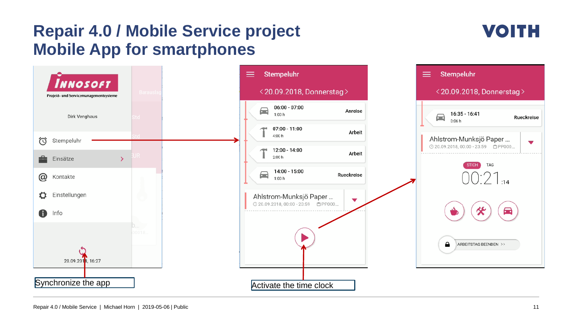#### **Repair 4.0 / Mobile Service project Mobile App for smartphones**

## **VOITH**

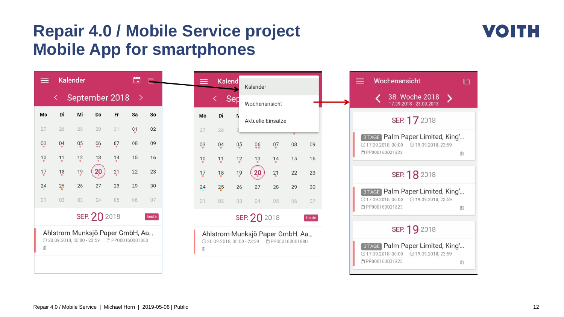#### **Repair 4.0 / Mobile Service project Mobile App for smartphones**

| ≡  |                | <b>Kalender</b>             |                                 |                 | ō                       |       |
|----|----------------|-----------------------------|---------------------------------|-----------------|-------------------------|-------|
|    |                |                             | September 2018                  |                 | - >                     |       |
| Mo | Di             | Мi                          | Do                              | Fr              | Sa                      | So    |
| 27 | 28             | 29                          | 30                              | 31              | 01                      | 02    |
|    | 0 <sub>4</sub> | 0,5                         | 06                              | $0\overline{7}$ | 08                      | 09    |
|    | $\frac{11}{2}$ | $^{12}$                     | $\frac{13}{2}$                  | $^{14}$         | 15                      | 16    |
|    | $\frac{18}{1}$ | $\frac{19}{6}$              | 20                              | 21              | 22                      | 23    |
|    | 25             | 26                          | 27                              | 28              | 29                      | 30    |
|    | 02             | 03                          | 04                              | 05              | 06                      | 07    |
|    |                |                             | SEP. 20 2018                    |                 |                         | heute |
|    |                |                             | Ahlstrom-Munksjö Paper GmbH, Aa |                 |                         |       |
| Ē. |                | → 20.09.2018, 00:00 - 23:59 |                                 |                 | <b>白 PP000160001880</b> |       |
|    |                |                             |                                 |                 |                         |       |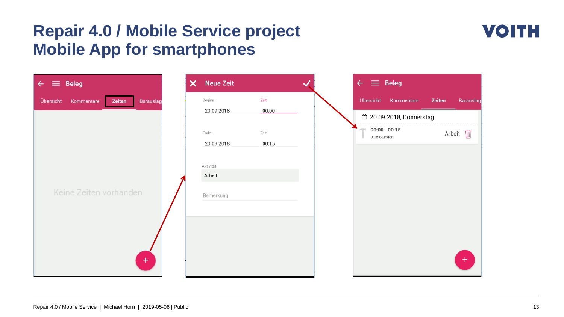#### **Repair 4.0 / Mobile Service project Mobile App for smartphones**



| <b>Beleg</b><br>$\epsilon \equiv$              | <b>Neue Zeit</b><br>× |               | $\leftarrow \equiv$ Beleg             |                     |
|------------------------------------------------|-----------------------|---------------|---------------------------------------|---------------------|
| Übersicht<br>Zeiten<br>Kommentare<br>Barauslag | Beginn                | Zeit          | Übersicht<br>Kommentare               | Zeiten<br>Barauslag |
|                                                | 20.09.2018            | 00:00         | □ 20.09.2018, Donnerstag              |                     |
|                                                | Ende<br>20.09.2018    | Zeit<br>00:15 | $00:00 - 00:15$<br>÷.<br>0:15 Stunden | Arbeit m            |
|                                                | Aktivität<br>Arbeit   |               |                                       |                     |
| Keine Zeiten vorhanden                         | Bemerkung             |               |                                       |                     |
|                                                |                       |               |                                       |                     |
| $+$                                            |                       |               |                                       | $\ddot{}$           |

#### Repair 4.0 / Mobile Service | Michael Horn | 2019-05-06 | Public 13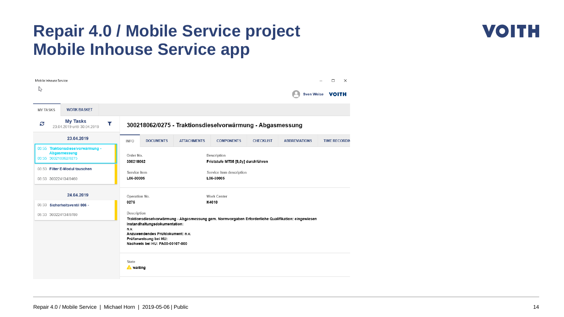#### **Repair 4.0 / Mobile Service project Mobile Inhouse Service app**



| Mobile Inhouse Service                                                    |                                                                                                                                       |                    |                                                   |                  |                      | $\Box$<br>$\times$      |
|---------------------------------------------------------------------------|---------------------------------------------------------------------------------------------------------------------------------------|--------------------|---------------------------------------------------|------------------|----------------------|-------------------------|
| ピ                                                                         |                                                                                                                                       |                    |                                                   |                  |                      | Sven Weise <b>VOITH</b> |
| <b>WORK BASKET</b><br><b>MY TASKS</b>                                     |                                                                                                                                       |                    |                                                   |                  |                      |                         |
| <b>My Tasks</b><br>S<br>T<br>23.04.2019 until 30.04.2019                  | 300218062/0275 - Traktionsdieselvorwärmung - Abgasmessung                                                                             |                    |                                                   |                  |                      |                         |
| 23.04.2019                                                                | <b>DOCUMENTS</b><br><b>INFO</b>                                                                                                       | <b>ATTACHMENTS</b> | <b>COMPONENTS</b>                                 | <b>CHECKLIST</b> | <b>ABBREVIATIONS</b> | <b>TIME RECORDIN</b>    |
| 03:55 Traktionsdieselvorwärmung -<br>Abgasmessung<br>03:55 300218062/0275 | Order No.<br>300218062                                                                                                                |                    | Description<br>Friststufe MT05 [8,0y] durchführen |                  |                      |                         |
| 03:53 Filter E-Modul tauschen<br>03:53 300224134/0460                     | Service item<br>L06-30005                                                                                                             |                    | Service item description<br>L06-30005             |                  |                      |                         |
| 24.04.2019                                                                | Operation No.                                                                                                                         |                    | <b>Work Center</b>                                |                  |                      |                         |
| 05:33 Sicherheitsventil 006 -                                             | 0275                                                                                                                                  |                    | K4010                                             |                  |                      |                         |
| 05:33 300224134/0780                                                      | Description<br>Traktionsdieselvorwärmung - Abgasmessung gem. Normvorgaben Erforderliche Qualifikation: eingewiesen                    |                    |                                                   |                  |                      |                         |
|                                                                           | Instandhaltungsdokumentation:<br>n.v.<br>Anzuwendendes Prüfdokument: n.v.<br>Prüfanweisung bei HU:<br>Nachweis bei HU: PA00-00107-000 |                    |                                                   |                  |                      |                         |
|                                                                           | State<br><b>A</b> waiting                                                                                                             |                    |                                                   |                  |                      |                         |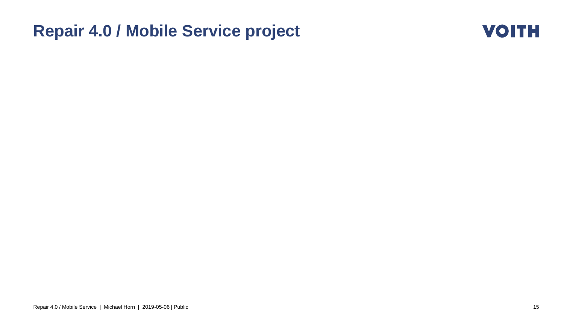#### **Repair 4.0 / Mobile Service project**

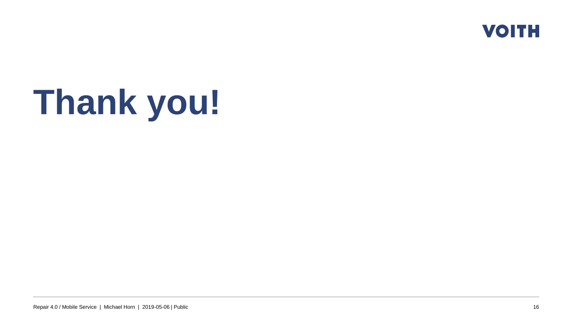

## **Thank you!**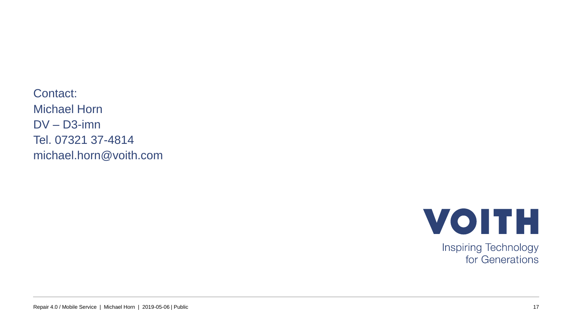Contact: Michael Horn DV – D3-imn Tel. 07321 37-4814 michael.horn@voith.com



Inspiring Technology for Generations